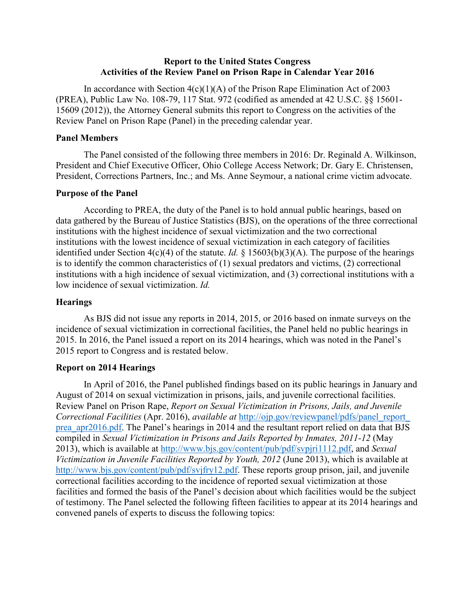### **Report to the United States Congress Activities of the Review Panel on Prison Rape in Calendar Year 2016**

In accordance with Section  $4(c)(1)(A)$  of the Prison Rape Elimination Act of 2003 (PREA), Public Law No. 108-79, 117 Stat. 972 (codified as amended at 42 U.S.C. §§ 15601- 15609 (2012)), the Attorney General submits this report to Congress on the activities of the Review Panel on Prison Rape (Panel) in the preceding calendar year.

#### **Panel Members**

The Panel consisted of the following three members in 2016: Dr. Reginald A. Wilkinson, President and Chief Executive Officer, Ohio College Access Network; Dr. Gary E. Christensen, President, Corrections Partners, Inc.; and Ms. Anne Seymour, a national crime victim advocate.

### **Purpose of the Panel**

According to PREA, the duty of the Panel is to hold annual public hearings, based on data gathered by the Bureau of Justice Statistics (BJS), on the operations of the three correctional institutions with the highest incidence of sexual victimization and the two correctional institutions with the lowest incidence of sexual victimization in each category of facilities identified under Section  $4(c)(4)$  of the statute. *Id.* § 15603(b)(3)(A). The purpose of the hearings is to identify the common characteristics of  $(1)$  sexual predators and victims,  $(2)$  correctional institutions with a high incidence of sexual victimization, and (3) correctional institutions with a low incidence of sexual victimization. *Id.*

### **Hearings**

As BJS did not issue any reports in 2014, 2015, or 2016 based on inmate surveys on the incidence of sexual victimization in correctional facilities, the Panel held no public hearings in 2015. In 2016, the Panel issued a report on its 2014 hearings, which was noted in the Panel's 2015 report to Congress and is restated below.

#### **Report on 2014 Hearings**

In April of 2016, the Panel published findings based on its public hearings in January and August of 2014 on sexual victimization in prisons, jails, and juvenile correctional facilities. Review Panel on Prison Rape, *Report on Sexual Victimization in Prisons, Jails, and Juvenile Correctional Facilities* (Apr. 2016), *available at* [http://ojp.gov/reviewpanel/pdfs/panel\\_report\\_](http://ojp.gov/reviewpanel/pdfs/panel_report_prea_apr2016.pdf) [prea\\_apr2016.pdf.](http://ojp.gov/reviewpanel/pdfs/panel_report_prea_apr2016.pdf) The Panel's hearings in 2014 and the resultant report relied on data that BJS compiled in *Sexual Victimization in Prisons and Jails Reported by Inmates, 2011-12* (May 2013), which is available at [http://www.bjs.gov/content/pub/pdf/svpjri1112.pdf,](http://www.bjs.gov/content/pub/pdf/svpjri1112.pdf) and *Sexual Victimization in Juvenile Facilities Reported by Youth, 2012* (June 2013), which is available at [http://www.bjs.gov/content/pub/pdf/svjfry12.pdf.](http://www.bjs.gov/content/pub/pdf/svjfry12.pdf) These reports group prison, jail, and juvenile correctional facilities according to the incidence of reported sexual victimization at those facilities and formed the basis of the Panel's decision about which facilities would be the subject of testimony. The Panel selected the following fifteen facilities to appear at its 2014 hearings and convened panels of experts to discuss the following topics: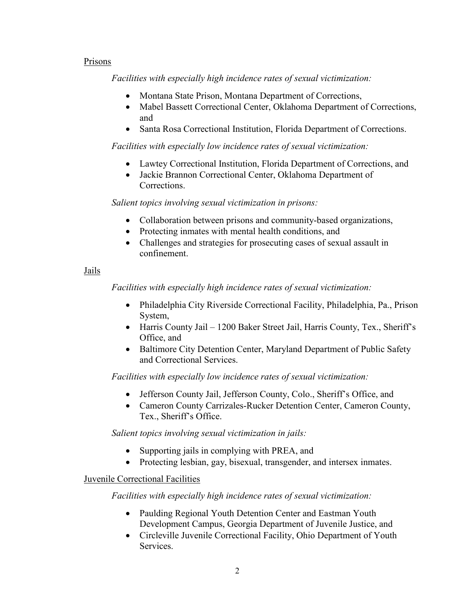## Prisons

*Facilities with especially high incidence rates of sexual victimization:*

- Montana State Prison, Montana Department of Corrections,
- Mabel Bassett Correctional Center, Oklahoma Department of Corrections, and
- Santa Rosa Correctional Institution, Florida Department of Corrections.

*Facilities with especially low incidence rates of sexual victimization:*

- Lawtey Correctional Institution, Florida Department of Corrections, and
- Jackie Brannon Correctional Center, Oklahoma Department of Corrections.

*Salient topics involving sexual victimization in prisons:*

- Collaboration between prisons and community-based organizations,
- Protecting inmates with mental health conditions, and
- Challenges and strategies for prosecuting cases of sexual assault in confinement.

## Jails

*Facilities with especially high incidence rates of sexual victimization:*

- Philadelphia City Riverside Correctional Facility, Philadelphia, Pa., Prison System,
- Harris County Jail 1200 Baker Street Jail, Harris County, Tex., Sheriff's Office, and
- Baltimore City Detention Center, Maryland Department of Public Safety and Correctional Services.

*Facilities with especially low incidence rates of sexual victimization:*

- Jefferson County Jail, Jefferson County, Colo., Sheriff's Office, and
- Cameron County Carrizales-Rucker Detention Center, Cameron County, Tex., Sheriff's Office.

*Salient topics involving sexual victimization in jails:*

- Supporting jails in complying with PREA, and
- Protecting lesbian, gay, bisexual, transgender, and intersex inmates.

## Juvenile Correctional Facilities

*Facilities with especially high incidence rates of sexual victimization:*

- Paulding Regional Youth Detention Center and Eastman Youth Development Campus, Georgia Department of Juvenile Justice, and
- Circleville Juvenile Correctional Facility, Ohio Department of Youth Services.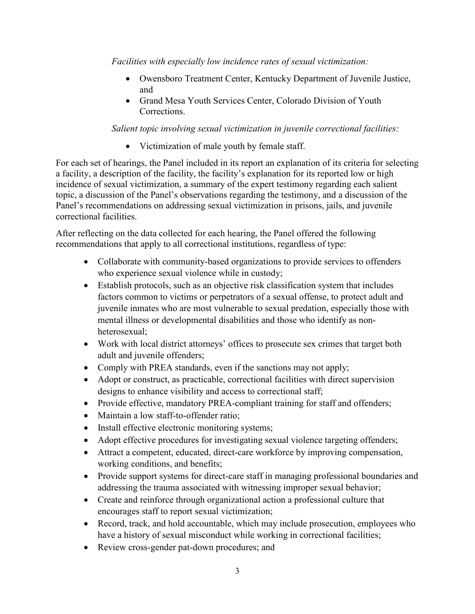*Facilities with especially low incidence rates of sexual victimization:*

- Owensboro Treatment Center, Kentucky Department of Juvenile Justice, and
- Grand Mesa Youth Services Center, Colorado Division of Youth Corrections.

# *Salient topic involving sexual victimization in juvenile correctional facilities:*

• Victimization of male youth by female staff.

For each set of hearings, the Panel included in its report an explanation of its criteria for selecting a facility, a description of the facility, the facility's explanation for its reported low or high incidence of sexual victimization, a summary of the expert testimony regarding each salient topic, a discussion of the Panel's observations regarding the testimony, and a discussion of the Panel's recommendations on addressing sexual victimization in prisons, jails, and juvenile correctional facilities.

After reflecting on the data collected for each hearing, the Panel offered the following recommendations that apply to all correctional institutions, regardless of type:

- Collaborate with community-based organizations to provide services to offenders who experience sexual violence while in custody;
- Establish protocols, such as an objective risk classification system that includes factors common to victims or perpetrators of a sexual offense, to protect adult and juvenile inmates who are most vulnerable to sexual predation, especially those with mental illness or developmental disabilities and those who identify as nonheterosexual;
- Work with local district attorneys' offices to prosecute sex crimes that target both adult and juvenile offenders;
- Comply with PREA standards, even if the sanctions may not apply;
- Adopt or construct, as practicable, correctional facilities with direct supervision designs to enhance visibility and access to correctional staff;
- Provide effective, mandatory PREA-compliant training for staff and offenders;
- Maintain a low staff-to-offender ratio;
- Install effective electronic monitoring systems;
- Adopt effective procedures for investigating sexual violence targeting offenders;
- Attract a competent, educated, direct-care workforce by improving compensation, working conditions, and benefits;
- Provide support systems for direct-care staff in managing professional boundaries and addressing the trauma associated with witnessing improper sexual behavior;
- Create and reinforce through organizational action a professional culture that encourages staff to report sexual victimization;
- Record, track, and hold accountable, which may include prosecution, employees who have a history of sexual misconduct while working in correctional facilities;
- Review cross-gender pat-down procedures; and